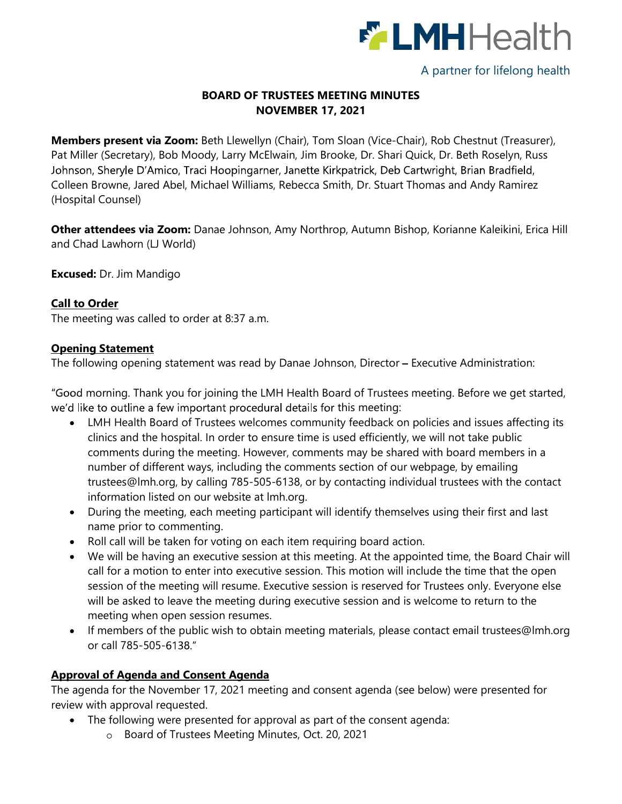

# A partner for lifelong health

# BOARD OF TRUSTEES MEETING MINUTES NOVEMBER 17, 2021

Members present via Zoom: Beth Llewellyn (Chair), Tom Sloan (Vice-Chair), Rob Chestnut (Treasurer), Pat Miller (Secretary), Bob Moody, Larry McElwain, Jim Brooke, Dr. Shari Quick, Dr. Beth Roselyn, Russ Johnson, Sheryle D'Amico, Traci Hoopingarner, Janette Kirkpatrick, Deb Cartwright, Brian Bradfield, Colleen Browne, Jared Abel, Michael Williams, Rebecca Smith, Dr. Stuart Thomas and Andy Ramirez (Hospital Counsel)

Other attendees via Zoom: Danae Johnson, Amy Northrop, Autumn Bishop, Korianne Kaleikini, Erica Hill and Chad Lawhorn (LJ World)

Excused: Dr. Jim Mandigo

## Call to Order

The meeting was called to order at 8:37 a.m.

## Opening Statement

The following opening statement was read by Danae Johnson, Director - Executive Administration:

"Good morning. Thank you for joining the LMH Health Board of Trustees meeting. Before we get started, we'd like to outline a few important procedural details for this meeting:

- LMH Health Board of Trustees welcomes community feedback on policies and issues affecting its clinics and the hospital. In order to ensure time is used efficiently, we will not take public comments during the meeting. However, comments may be shared with board members in a number of different ways, including the comments section of our webpage, by emailing trustees@lmh.org, by calling 785-505-6138, or by contacting individual trustees with the contact information listed on our website at lmh.org.
- During the meeting, each meeting participant will identify themselves using their first and last name prior to commenting.
- Roll call will be taken for voting on each item requiring board action.
- We will be having an executive session at this meeting. At the appointed time, the Board Chair will call for a motion to enter into executive session. This motion will include the time that the open session of the meeting will resume. Executive session is reserved for Trustees only. Everyone else will be asked to leave the meeting during executive session and is welcome to return to the meeting when open session resumes.
- If members of the public wish to obtain meeting materials, please contact email trustees@lmh.org or call 785-505-

## Approval of Agenda and Consent Agenda

The agenda for the November 17, 2021 meeting and consent agenda (see below) were presented for review with approval requested.

- The following were presented for approval as part of the consent agenda:
	- Board of Trustees Meeting Minutes, Oct. 20, 2021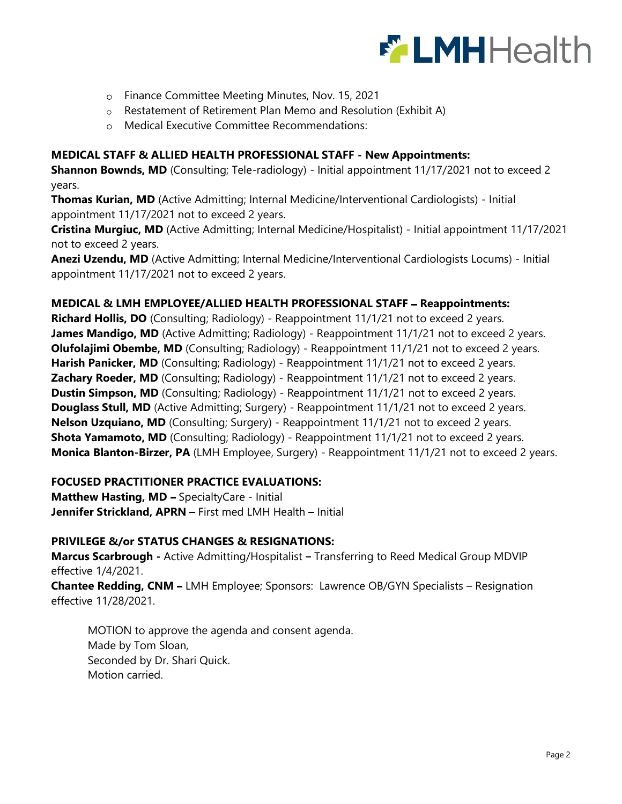

- Finance Committee Meeting Minutes, Nov. 15, 2021
- $\circ$  Restatement of Retirement Plan Memo and Resolution (Exhibit A)
- Medical Executive Committee Recommendations:

#### MEDICAL STAFF & ALLIED HEALTH PROFESSIONAL STAFF - New Appointments:

Shannon Bownds, MD (Consulting; Tele-radiology) - Initial appointment 11/17/2021 not to exceed 2 years.

Thomas Kurian, MD (Active Admitting; Internal Medicine/Interventional Cardiologists) - Initial appointment 11/17/2021 not to exceed 2 years.

Cristina Murgiuc, MD (Active Admitting; Internal Medicine/Hospitalist) - Initial appointment 11/17/2021 not to exceed 2 years. **EXAMPLE CONSTRAINS ANEXAGE CONSTRAINS ANCESS AND MANUSE ADMINISTRAT CONSTRAINS AND A Restatement of Retirement Plan Memo and Resolution (Exhibit A) <br>**  $\alpha$  **MEDICAL STAFF & ALLIED HEALTH PROFESSIONAL STAFF - New Appointment** 

appointment 11/17/2021 not to exceed 2 years.

#### MEDICAL & LMH EMPLOYEE/ALLIED HEALTH PROFESSIONAL STAFF - Reappointments:

Richard Hollis, DO (Consulting; Radiology) - Reappointment 11/1/21 not to exceed 2 years. James Mandigo, MD (Active Admitting; Radiology) - Reappointment 11/1/21 not to exceed 2 years. **Olufolajimi Obembe, MD** (Consulting; Radiology) - Reappointment 11/1/21 not to exceed 2 years. Harish Panicker, MD (Consulting; Radiology) - Reappointment 11/1/21 not to exceed 2 years. **Zachary Roeder, MD** (Consulting; Radiology) - Reappointment 11/1/21 not to exceed 2 years. **Dustin Simpson, MD** (Consulting; Radiology) - Reappointment 11/1/21 not to exceed 2 years. **Douglass Stull, MD** (Active Admitting; Surgery) - Reappointment 11/1/21 not to exceed 2 years. Nelson Uzquiano, MD (Consulting; Surgery) - Reappointment 11/1/21 not to exceed 2 years. **Shota Yamamoto, MD** (Consulting; Radiology) - Reappointment 11/1/21 not to exceed 2 years. Monica Blanton-Birzer, PA (LMH Employee, Surgery) - Reappointment 11/1/21 not to exceed 2 years.

#### FOCUSED PRACTITIONER PRACTICE EVALUATIONS:

Matthew Hasting, MD - SpecialtyCare - Initial Jennifer Strickland, APRN - First med LMH Health - Initial

#### PRIVILEGE &/or STATUS CHANGES & RESIGNATIONS:

Marcus Scarbrough - Active Admitting/Hospitalist - Transferring to Reed Medical Group MDVIP effective 1/4/2021.

Chantee Redding, CNM - LMH Employee; Sponsors: Lawrence OB/GYN Specialists - Resignation effective 11/28/2021.

MOTION to approve the agenda and consent agenda. Made by Tom Sloan, Seconded by Dr. Shari Quick. Motion carried.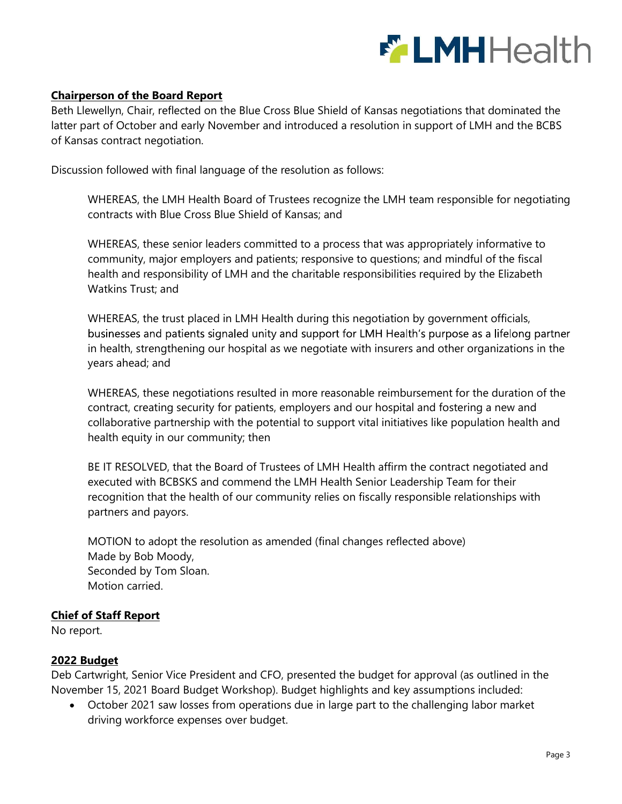

### Chairperson of the Board Report

Beth Llewellyn, Chair, reflected on the Blue Cross Blue Shield of Kansas negotiations that dominated the latter part of October and early November and introduced a resolution in support of LMH and the BCBS of Kansas contract negotiation.

Discussion followed with final language of the resolution as follows:

WHEREAS, the LMH Health Board of Trustees recognize the LMH team responsible for negotiating contracts with Blue Cross Blue Shield of Kansas; and

WHEREAS, these senior leaders committed to a process that was appropriately informative to community, major employers and patients; responsive to questions; and mindful of the fiscal health and responsibility of LMH and the charitable responsibilities required by the Elizabeth Watkins Trust; and

WHEREAS, the trust placed in LMH Health during this negotiation by government officials, businesses and patients signaled unity and support for LMH Health's purpose as a lifelong partner in health, strengthening our hospital as we negotiate with insurers and other organizations in the years ahead; and

WHEREAS, these negotiations resulted in more reasonable reimbursement for the duration of the contract, creating security for patients, employers and our hospital and fostering a new and collaborative partnership with the potential to support vital initiatives like population health and health equity in our community; then

BE IT RESOLVED, that the Board of Trustees of LMH Health affirm the contract negotiated and executed with BCBSKS and commend the LMH Health Senior Leadership Team for their recognition that the health of our community relies on fiscally responsible relationships with partners and payors.

MOTION to adopt the resolution as amended (final changes reflected above) Made by Bob Moody, Seconded by Tom Sloan. Motion carried.

#### Chief of Staff Report

No report.

#### 2022 Budget

Deb Cartwright, Senior Vice President and CFO, presented the budget for approval (as outlined in the November 15, 2021 Board Budget Workshop). Budget highlights and key assumptions included:

October 2021 saw losses from operations due in large part to the challenging labor market  $\bullet$ driving workforce expenses over budget.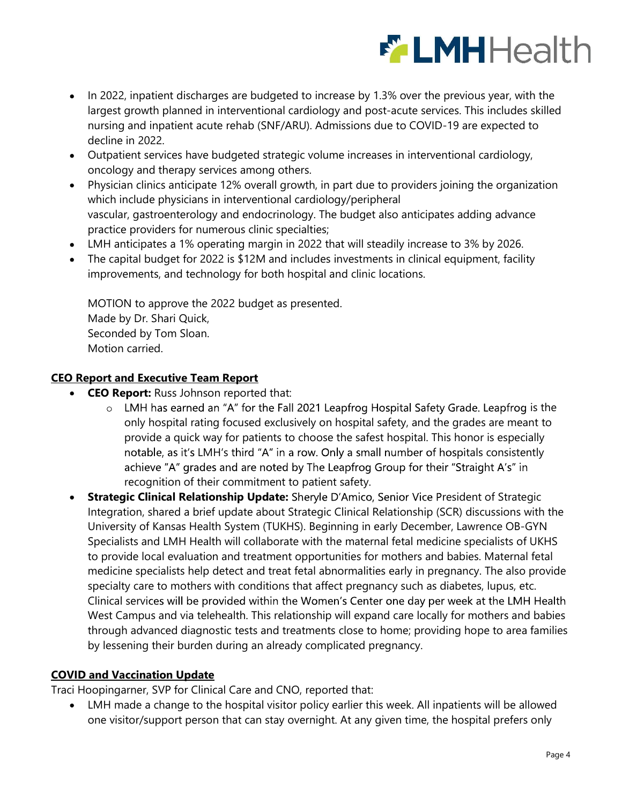

- In 2022, inpatient discharges are budgeted to increase by 1.3% over the previous year, with the  $\bullet$ largest growth planned in interventional cardiology and post-acute services. This includes skilled nursing and inpatient acute rehab (SNF/ARU). Admissions due to COVID-19 are expected to decline in 2022.
- Outpatient services have budgeted strategic volume increases in interventional cardiology, oncology and therapy services among others.
- Physician clinics anticipate 12% overall growth, in part due to providers joining the organization  $\bullet$ which include physicians in interventional cardiology/peripheral vascular, gastroenterology and endocrinology. The budget also anticipates adding advance practice providers for numerous clinic specialties;
- $\bullet$ LMH anticipates a 1% operating margin in 2022 that will steadily increase to 3% by 2026.
- The capital budget for 2022 is \$12M and includes investments in clinical equipment, facility  $\bullet$ improvements, and technology for both hospital and clinic locations.

MOTION to approve the 2022 budget as presented. Made by Dr. Shari Quick, Seconded by Tom Sloan. Motion carried.

## CEO Report and Executive Team Report

- CEO Report: Russ Johnson reported that:
	- o LMH has earned an "A" for the Fall 2021 Leapfrog Hospital Safety Grade. Leapfrog is the only hospital rating focused exclusively on hospital safety, and the grades are meant to provide a quick way for patients to choose the safest hospital. This honor is especially notable, as it's LMH's third "A" in a row. Only a small number of hospitals consistently achieve "A" grades and are noted by The Leapfrog Group for their "Straight A's" in recognition of their commitment to patient safety.
- Strategic Clinical Relationship Update: Sheryle D'Amico, Senior Vice President of Strategic  $\bullet$ Integration, shared a brief update about Strategic Clinical Relationship (SCR) discussions with the University of Kansas Health System (TUKHS). Beginning in early December, Lawrence OB-GYN Specialists and LMH Health will collaborate with the maternal fetal medicine specialists of UKHS to provide local evaluation and treatment opportunities for mothers and babies. Maternal fetal medicine specialists help detect and treat fetal abnormalities early in pregnancy. The also provide specialty care to mothers with conditions that affect pregnancy such as diabetes, lupus, etc. Clinical services will be provided within the Women's Center one day per week at the LMH Health West Campus and via telehealth. This relationship will expand care locally for mothers and babies through advanced diagnostic tests and treatments close to home; providing hope to area families by lessening their burden during an already complicated pregnancy.

#### COVID and Vaccination Update

Traci Hoopingarner, SVP for Clinical Care and CNO, reported that:

 $\bullet$ LMH made a change to the hospital visitor policy earlier this week. All inpatients will be allowed one visitor/support person that can stay overnight. At any given time, the hospital prefers only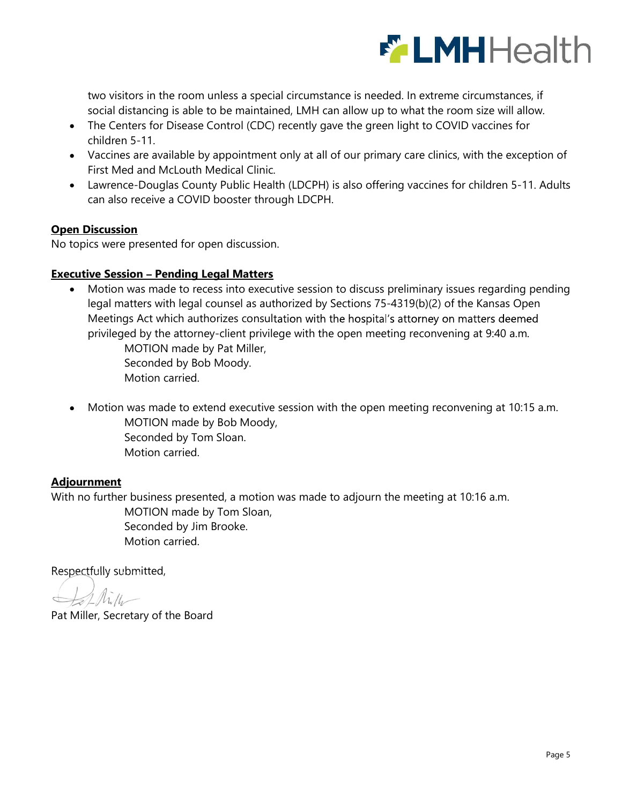

two visitors in the room unless a special circumstance is needed. In extreme circumstances, if social distancing is able to be maintained, LMH can allow up to what the room size will allow.

- The Centers for Disease Control (CDC) recently gave the green light to COVID vaccines for children 5-11.
- Vaccines are available by appointment only at all of our primary care clinics, with the exception of First Med and McLouth Medical Clinic.
- Lawrence-Douglas County Public Health (LDCPH) is also offering vaccines for children 5-11. Adults can also receive a COVID booster through LDCPH.

# Open Discussion

No topics were presented for open discussion.

## **Executive Session - Pending Legal Matters**

Motion was made to recess into executive session to discuss preliminary issues regarding pending legal matters with legal counsel as authorized by Sections 75-4319(b)(2) of the Kansas Open Meetings Act which authorizes consultation with the hospital's attorney on matters deemed two visitors in the room unless a special circumstance is needed. In extreme circumstances, if<br>social distancing is able to be maintained, LMH can allow up to what the room size will allow.<br>The Centers for Disease Control

MOTION made by Pat Miller, Seconded by Bob Moody. Motion carried.

Motion was made to extend executive session with the open meeting reconvening at 10:15 a.m. MOTION made by Bob Moody, Seconded by Tom Sloan. Motion carried.

## Adjournment

With no further business presented, a motion was made to adjourn the meeting at 10:16 a.m.

MOTION made by Tom Sloan, Seconded by Jim Brooke. Motion carried.

Respectfully submitted,

Pat Miller, Secretary of the Board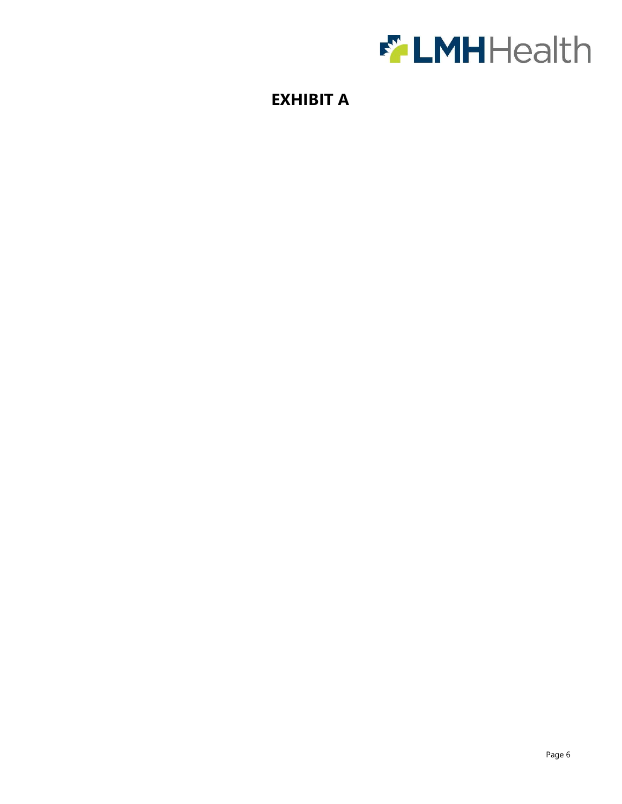

# EXHIBIT A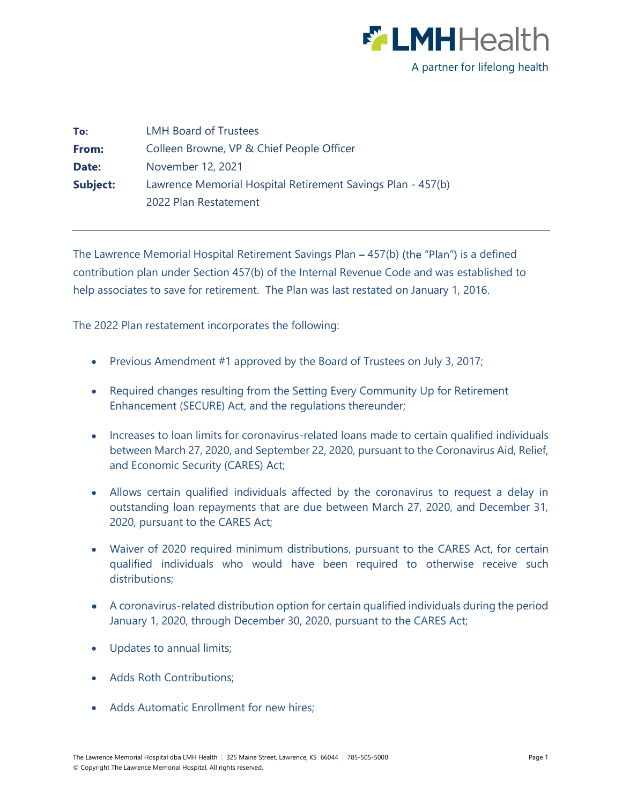

| To:      | <b>LMH Board of Trustees</b>                                |
|----------|-------------------------------------------------------------|
| From:    | Colleen Browne, VP & Chief People Officer                   |
| Date:    | November 12, 2021                                           |
| Subject: | Lawrence Memorial Hospital Retirement Savings Plan - 457(b) |
|          | 2022 Plan Restatement                                       |

The Lawrence Memorial Hospital Retirement Savings Plan  $-457(b)$  (the "Plan") is a defined contribution plan under Section 457(b) of the Internal Revenue Code and was established to help associates to save for retirement. The Plan was last restated on January 1, 2016.

The 2022 Plan restatement incorporates the following:

- Previous Amendment #1 approved by the Board of Trustees on July 3, 2017;
- Required changes resulting from the Setting Every Community Up for Retirement Enhancement (SECURE) Act, and the regulations thereunder;
- Increases to loan limits for coronavirus-related loans made to certain qualified individuals between March 27, 2020, and September 22, 2020, pursuant to the Coronavirus Aid, Relief, and Economic Security (CARES) Act;
- Allows certain qualified individuals affected by the coronavirus to request a delay in outstanding loan repayments that are due between March 27, 2020, and December 31, 2020, pursuant to the CARES Act;
- sociates to save for retirement. The Plan was last restated on January 1, 2016.<br>
22 Plan restatement incorporates the following:<br>
Previous Amendment #1 approved by the Board of Trustees on July 3, 2017;<br>
Required changes r qualified individuals who would have been required to otherwise receive such distributions;
- A coronavirus-related distribution option for certain qualified individuals during the period January 1, 2020, through December 30, 2020, pursuant to the CARES Act;
- Updates to annual limits;
- Adds Roth Contributions:
- Adds Automatic Enrollment for new hires;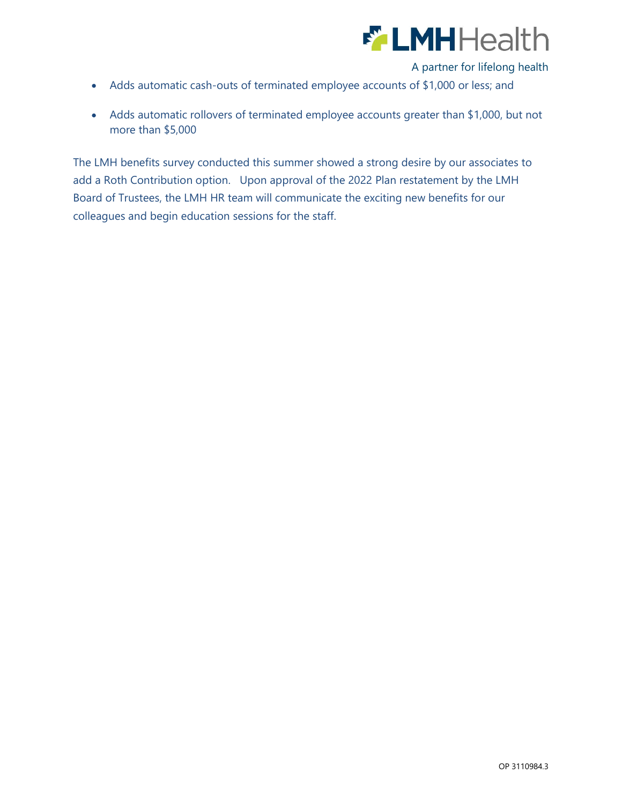

A partner for lifelong health

- Adds automatic cash-outs of terminated employee accounts of \$1,000 or less; and
- Adds automatic rollovers of terminated employee accounts greater than \$1,000, but not more than \$5,000

The LMH benefits survey conducted this summer showed a strong desire by our associates to add a Roth Contribution option. Upon approval of the 2022 Plan restatement by the LMH Board of Trustees, the LMH HR team will communicate the exciting new benefits for our colleagues and begin education sessions for the staff.